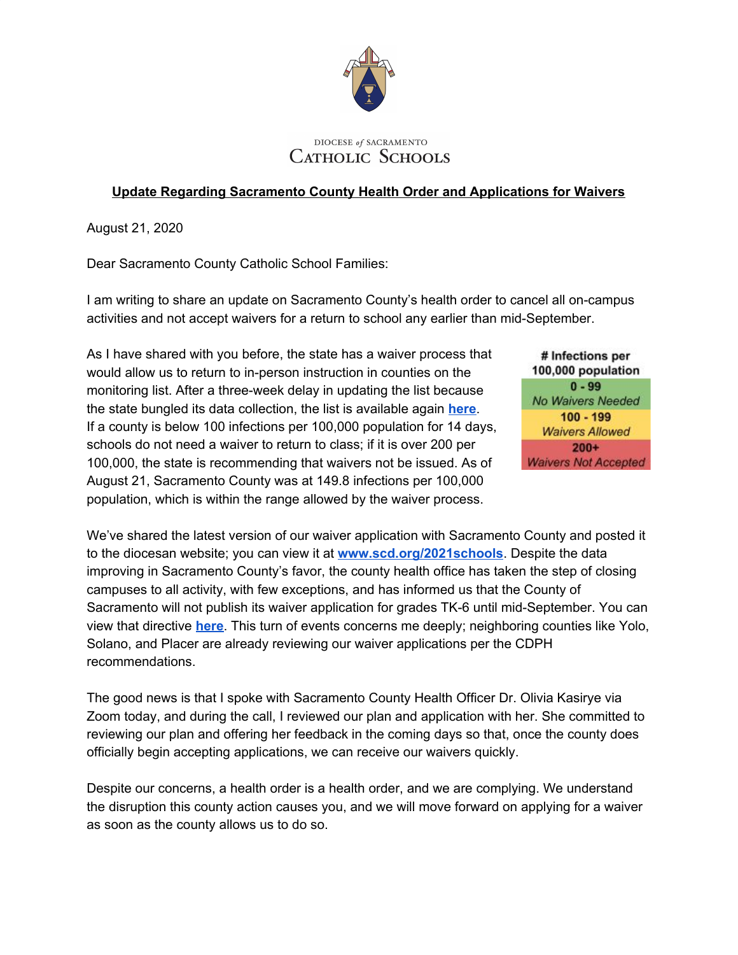

## DIOCESE of SACRAMENTO CATHOLIC SCHOOLS

## **Update Regarding Sacramento County Health Order and Applications for Waivers**

August 21, 2020

Dear Sacramento County Catholic School Families:

I am writing to share an update on Sacramento County's health order to cancel all on-campus activities and not accept waivers for a return to school any earlier than mid-September.

As I have shared with you before, the state has a waiver process that would allow us to return to in-person instruction in counties on the monitoring list. After a three-week delay in updating the list because the state bungled its data collection, the list is available again **[here](https://www.cdph.ca.gov/Programs/CID/DCDC/Pages/COVID-19/COVID19CountyDataTable.aspx)**. If a county is below 100 infections per 100,000 population for 14 days, schools do not need a waiver to return to class; if it is over 200 per 100,000, the state is recommending that waivers not be issued. As of August 21, Sacramento County was at 149.8 infections per 100,000 population, which is within the range allowed by the waiver process.

# Infections per 100,000 population  $0 - 99$ No Waivers Needed  $100 - 199$ **Waivers Allowed**  $200+$ **Waivers Not Accepted** 

We've shared the latest version of our waiver application with Sacramento County and posted it to the diocesan website; you can view it at **[www.scd.org/2021schools](http://www.scd.org/2021schools)**. Despite the data improving in Sacramento County's favor, the county health office has taken the step of closing campuses to all activity, with few exceptions, and has informed us that the County of Sacramento will not publish its waiver application for grades TK-6 until mid-September. You can view that directive **[here](https://www.scd.org/sites/default/files/2020-08/SCPH-Letter-FAQ-Order-082020.pdf)**. This turn of events concerns me deeply; neighboring counties like Yolo, Solano, and Placer are already reviewing our waiver applications per the CDPH recommendations.

The good news is that I spoke with Sacramento County Health Officer Dr. Olivia Kasirye via Zoom today, and during the call, I reviewed our plan and application with her. She committed to reviewing our plan and offering her feedback in the coming days so that, once the county does officially begin accepting applications, we can receive our waivers quickly.

Despite our concerns, a health order is a health order, and we are complying. We understand the disruption this county action causes you, and we will move forward on applying for a waiver as soon as the county allows us to do so.